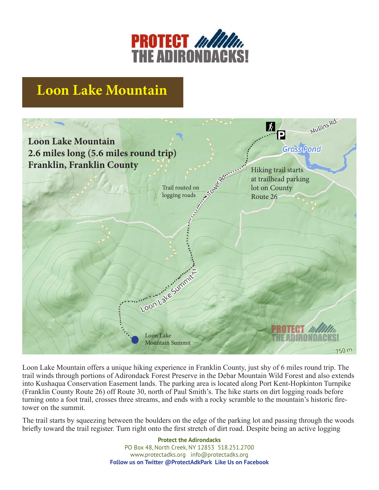

## **Loon Lake Mountain**



Loon Lake Mountain offers a unique hiking experience in Franklin County, just shy of 6 miles round trip. The trail winds through portions of Adirondack Forest Preserve in the Debar Mountain Wild Forest and also extends into Kushaqua Conservation Easement lands. The parking area is located along Port Kent-Hopkinton Turnpike (Franklin County Route 26) off Route 30, north of Paul Smith's. The hike starts on dirt logging roads before turning onto a foot trail, crosses three streams, and ends with a rocky scramble to the mountain's historic firetower on the summit.

The trail starts by squeezing between the boulders on the edge of the parking lot and passing through the woods briefly toward the trail register. Turn right onto the first stretch of dirt road. Despite being an active logging

> **Protect the Adirondacks** PO Box 48, North Creek, NY 12853 518.251.2700 www.protectadks.org info@protectadks.org **Follow us on Twitter @ProtectAdkPark Like Us on Facebook**